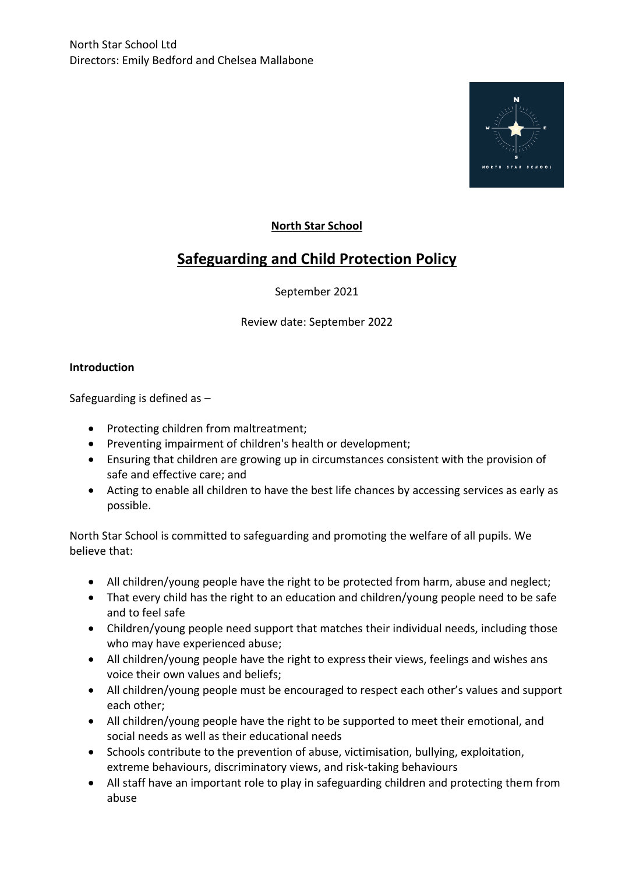

# **North Star School**

# **Safeguarding and Child Protection Policy**

# September 2021

Review date: September 2022

## **Introduction**

Safeguarding is defined as –

- Protecting children from maltreatment;
- Preventing impairment of children's health or development;
- Ensuring that children are growing up in circumstances consistent with the provision of safe and effective care; and
- Acting to enable all children to have the best life chances by accessing services as early as possible.

North Star School is committed to safeguarding and promoting the welfare of all pupils. We believe that:

- All children/young people have the right to be protected from harm, abuse and neglect;
- That every child has the right to an education and children/young people need to be safe and to feel safe
- Children/young people need support that matches their individual needs, including those who may have experienced abuse;
- All children/young people have the right to express their views, feelings and wishes ans voice their own values and beliefs;
- All children/young people must be encouraged to respect each other's values and support each other;
- All children/young people have the right to be supported to meet their emotional, and social needs as well as their educational needs
- Schools contribute to the prevention of abuse, victimisation, bullying, exploitation, extreme behaviours, discriminatory views, and risk-taking behaviours
- All staff have an important role to play in safeguarding children and protecting them from abuse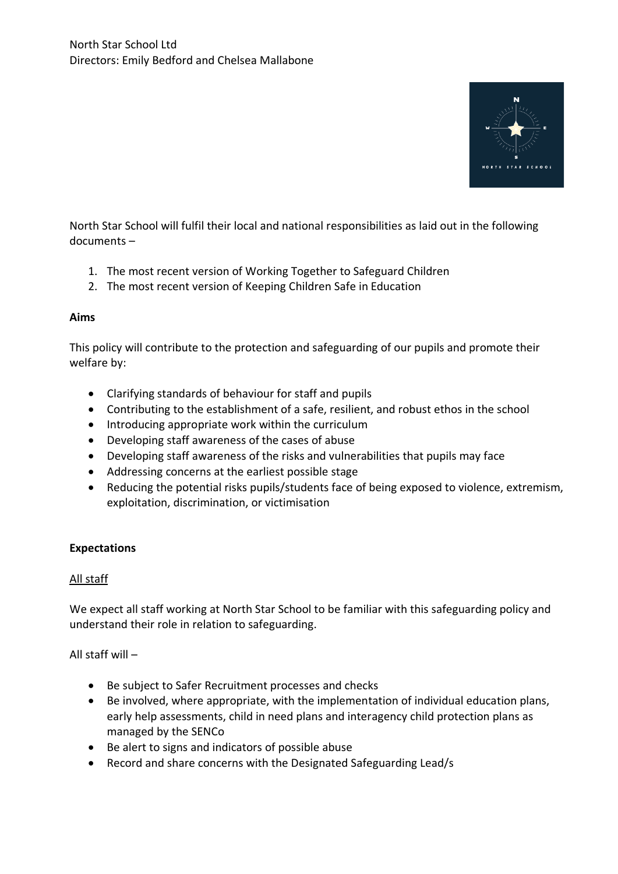

North Star School will fulfil their local and national responsibilities as laid out in the following documents –

- 1. The most recent version of Working Together to Safeguard Children
- 2. The most recent version of Keeping Children Safe in Education

#### **Aims**

This policy will contribute to the protection and safeguarding of our pupils and promote their welfare by:

- Clarifying standards of behaviour for staff and pupils
- Contributing to the establishment of a safe, resilient, and robust ethos in the school
- Introducing appropriate work within the curriculum
- Developing staff awareness of the cases of abuse
- Developing staff awareness of the risks and vulnerabilities that pupils may face
- Addressing concerns at the earliest possible stage
- Reducing the potential risks pupils/students face of being exposed to violence, extremism, exploitation, discrimination, or victimisation

#### **Expectations**

#### All staff

We expect all staff working at North Star School to be familiar with this safeguarding policy and understand their role in relation to safeguarding.

All staff will –

- Be subject to Safer Recruitment processes and checks
- Be involved, where appropriate, with the implementation of individual education plans, early help assessments, child in need plans and interagency child protection plans as managed by the SENCo
- Be alert to signs and indicators of possible abuse
- Record and share concerns with the Designated Safeguarding Lead/s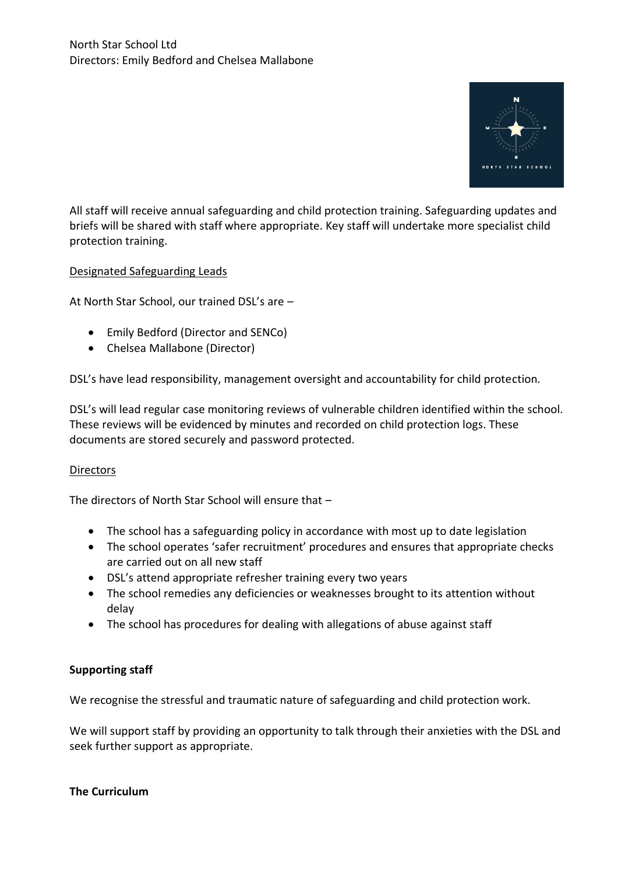

All staff will receive annual safeguarding and child protection training. Safeguarding updates and briefs will be shared with staff where appropriate. Key staff will undertake more specialist child protection training.

## Designated Safeguarding Leads

At North Star School, our trained DSL's are –

- Emily Bedford (Director and SENCo)
- Chelsea Mallabone (Director)

DSL's have lead responsibility, management oversight and accountability for child protection.

DSL's will lead regular case monitoring reviews of vulnerable children identified within the school. These reviews will be evidenced by minutes and recorded on child protection logs. These documents are stored securely and password protected.

#### **Directors**

The directors of North Star School will ensure that –

- The school has a safeguarding policy in accordance with most up to date legislation
- The school operates 'safer recruitment' procedures and ensures that appropriate checks are carried out on all new staff
- DSL's attend appropriate refresher training every two years
- The school remedies any deficiencies or weaknesses brought to its attention without delay
- The school has procedures for dealing with allegations of abuse against staff

# **Supporting staff**

We recognise the stressful and traumatic nature of safeguarding and child protection work.

We will support staff by providing an opportunity to talk through their anxieties with the DSL and seek further support as appropriate.

#### **The Curriculum**